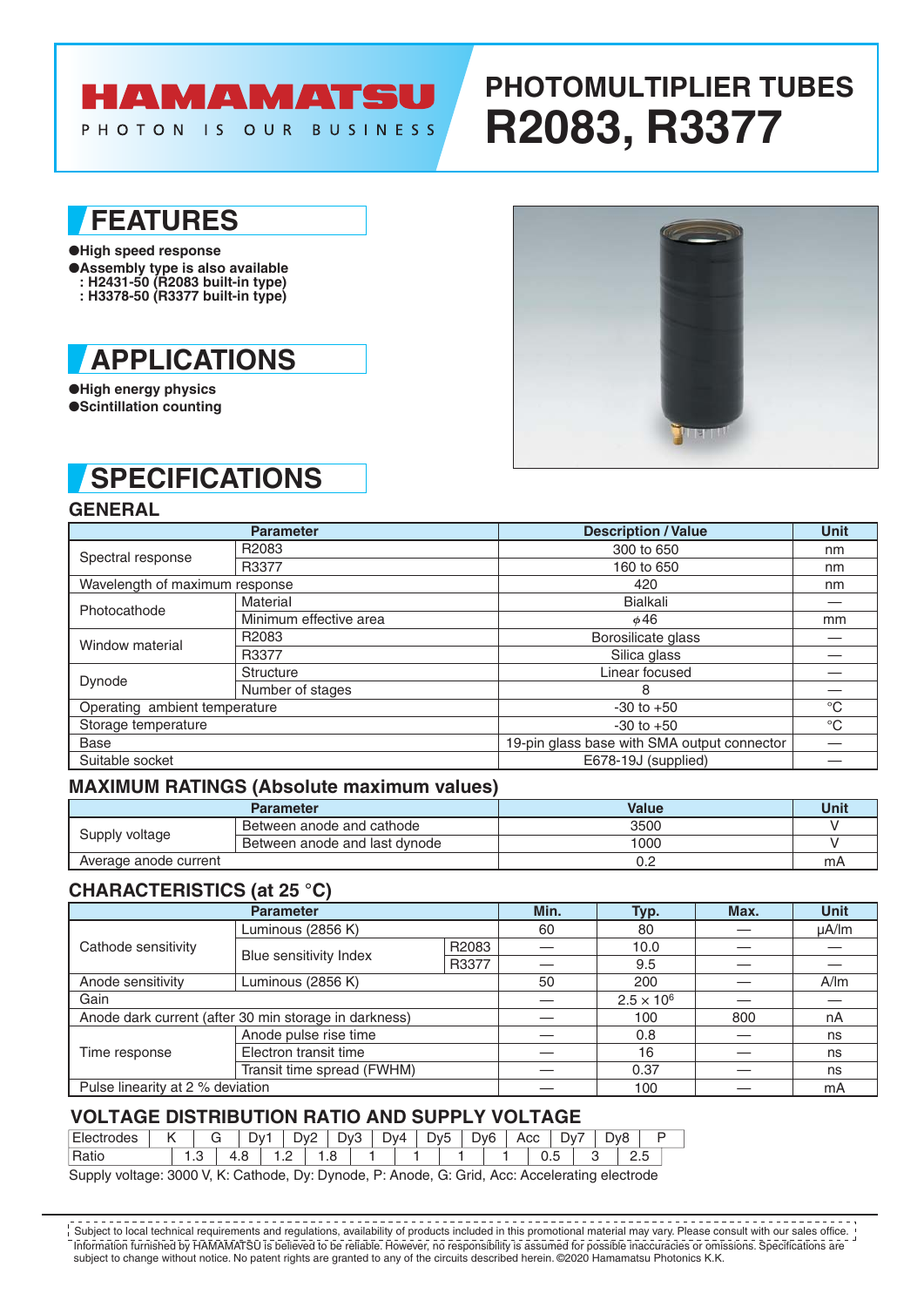## HAMAMATSU

PHOTON IS OUR BUSINESS

# **PHOTOMULTIPLIER TUBES R2083, R3377**

## **FEATURES**

- ●**High speed response**
- ●**Assembly type is also available : H2431-50 (R2083 built-in type)**
- **: H3378-50 (R3377 built-in type)**



●**High energy physics** ●**Scintillation counting**

# **SPECIFICATIONS**

#### **GENERAL**

|                                | <b>Parameter</b>       | <b>Description / Value</b>                  | <b>Unit</b> |
|--------------------------------|------------------------|---------------------------------------------|-------------|
| Spectral response              | R2083                  | 300 to 650                                  | nm          |
|                                | R3377                  | 160 to 650                                  | nm          |
| Wavelength of maximum response |                        | 420                                         | nm          |
| Photocathode                   | Material               | <b>Bialkali</b>                             |             |
|                                | Minimum effective area | $\phi$ 46                                   | mm          |
| Window material                | R2083                  | Borosilicate glass                          |             |
|                                | R3377                  | Silica glass                                |             |
|                                | <b>Structure</b>       | Linear focused                              |             |
| Dynode                         | Number of stages       | 8                                           |             |
| Operating ambient temperature  |                        | $-30$ to $+50$                              | $^{\circ}C$ |
| Storage temperature            |                        | $-30$ to $+50$                              | $^{\circ}C$ |
| <b>Base</b>                    |                        | 19-pin glass base with SMA output connector |             |
| Suitable socket                |                        | E678-19J (supplied)                         |             |

#### **MAXIMUM RATINGS (Absolute maximum values)**

|                       | <b>Parameter</b>              | Value | Unit |
|-----------------------|-------------------------------|-------|------|
| Supply voltage        | Between anode and cathode     | 3500  |      |
|                       | Between anode and last dynode | 1000  |      |
| Average anode current |                               |       | mA   |

#### **CHARACTERISTICS (at 25 °C)**

|                                                       | Min.                       | Typ.  | Max. | <b>Unit</b>         |     |            |  |
|-------------------------------------------------------|----------------------------|-------|------|---------------------|-----|------------|--|
|                                                       | Luminous (2856 K)          |       | 60   | 80                  |     | $\mu$ A/lm |  |
| Cathode sensitivity                                   | Blue sensitivity Index     | R2083 |      | 10.0                |     |            |  |
|                                                       |                            | R3377 |      | 9.5                 |     |            |  |
| Anode sensitivity                                     | Luminous (2856 K)          | 50    | 200  |                     | A/m |            |  |
| Gain                                                  |                            |       |      | $2.5 \times 10^{6}$ |     |            |  |
| Anode dark current (after 30 min storage in darkness) |                            |       | 100  | 800                 | nA  |            |  |
|                                                       | Anode pulse rise time      |       |      | 0.8                 |     | ns         |  |
| Time response                                         | Electron transit time      |       |      | 16                  |     | ns         |  |
|                                                       | Transit time spread (FWHM) | 0.37  |      | ns                  |     |            |  |
| Pulse linearity at 2 % deviation                      |                            |       | 100  |                     | mA  |            |  |

#### **VOLTAGE DISTRIBUTION RATIO AND SUPPLY VOLTAGE**

| $-$<br>ಾರು   |         | ◡ | ־∨ט |                          | -<br>)۷. | -<br>$\mathcal{N}$<br>┕<br>∼ | – | $\mathcal{M}$ | D <sub>v5</sub> | Dv <sub>6</sub> | ∼ | Acc | ∽   | J۷ | D٧٤ |  |
|--------------|---------|---|-----|--------------------------|----------|------------------------------|---|---------------|-----------------|-----------------|---|-----|-----|----|-----|--|
| DAL:<br>ιαιι | $\cdot$ |   | .   | $\overline{\phantom{a}}$ |          | ں ،                          |   |               |                 |                 |   |     | ◡.◡ |    |     |  |

Supply voltage: 3000 V, K: Cathode, Dy: Dynode, P: Anode, G: Grid, Acc: Accelerating electrode

Information furnished by HAMAMATSU is believed to be reliable. However, no responsibility is assumed for possible inaccuracies or omissions. Specifications are subject to change without notice. No patent rights are granted to any of the circuits described herein. ©2020 Hamamatsu Photonics K.K. Subject to local technical requirements and regulations, availability of products included in this promotional material may vary. Please consult with our sales office.